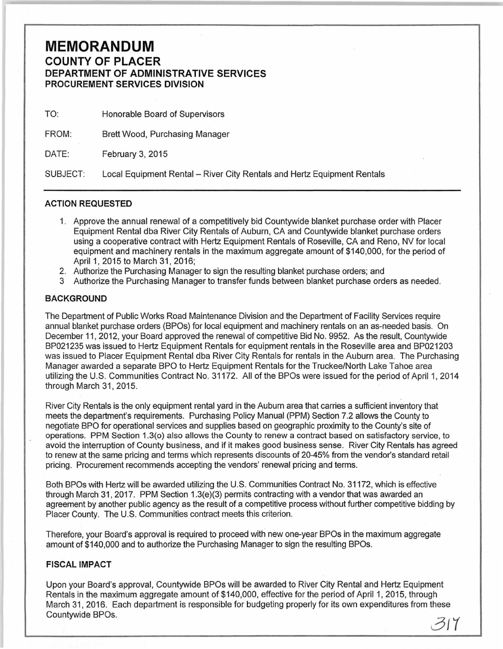## **MEMORANDUM COUNTY OF PLACER DEPARTMENT OF ADMINISTRATIVE SERVICES PROCUREMENT SERVICES DIVISION**

| TO:      | Honorable Board of Supervisors                                          |  |
|----------|-------------------------------------------------------------------------|--|
| FROM:    | Brett Wood, Purchasing Manager                                          |  |
| DATE:    | February 3, 2015                                                        |  |
| SUBJECT: | Local Equipment Rental - River City Rentals and Hertz Equipment Rentals |  |

## **ACTION REQUESTED**

- 1. Approve the annual renewal of a competitively bid Countywide blanket purchase order with Placer Equipment Rental dba River City Rentals of Auburn, CA and Countywide blanket purchase orders using a cooperative contract with Hertz Equipment Rentals of Roseville, CA and Reno, NV for local equipment and machinery rentals in the maximum aggregate amount of \$140,000, for the period of April 1, 2015 to March 31, 2016;
- 2. Authorize the Purchasing Manager to sign the resulting blanket purchase orders; and
- Authorize the Purchasing Manager to transfer funds between blanket purchase orders as needed.

## **BACKGROUND**

The Department of Public Works Road Maintenance Division and the Department of Facility Services require annual blanket purchase orders (BPOs) for local equipment and machinery rentals on an as-needed basis. On December 11 , 2012, your Board approved the renewal of competitive Bid No. 9952. As the result, Countywide BP021235 was issued to Hertz Equipment Rentals for equipment rentals in the Roseville area and BP021203 was issued to Placer Equipment Rental dba River City Rentals for rentals in the Auburn area. The Purchasing Manager awarded a separate BPO to Hertz Equipment Rentals for the Truckee/North Lake Tahoe area utilizing the U.S. Communities Contract No. 31172. All of the BPOs were issued for the period of April 1, 2014 through March 31, 2015.

River City Rentals is the only equipment rental yard in the Auburn area that carries a sufficient inventory that meets the department's requirements. Purchasing Policy Manual (PPM) Section 7.2 allows the County to negotiate BPO for operational services and supplies based on geographic proximity to the County's site of operations. PPM Section 1.3(o) also allows the County to renew a contract based on satisfactory service, to avoid the interruption of County business, and if it makes good business sense. River City Rentals has agreed to renew at the same pricing and terms which represents discounts of 20-45% from the vendor's standard retail pricing. Procurement recommends accepting the vendors' renewal pricing and terms.

Both BPOs with Hertz will be awarded utilizing the U.S. Communities Contract No. 31172, which is effective through March 31, 2017. PPM Section 1.3(e)(3) permits contracting with a vendor that was awarded an agreement by another public agency as the result of a competitive process without further competitive bidding by Placer County. The U.S. Communities contract meets this criterion.

Therefore, your Board's approval is required to proceed with new one-year BPOs in the maximum aggregate amount of \$140,000 and to authorize the Purchasing Manager to sign the resulting BPOs.

## **FISCAL IMPACT**

Upon your Board's approval, Countywide BPOs will be awarded to River City Rental and Hertz Equipment Rentals in the maximum aggregate amount of \$140,000, effective for the period of April 1, 2015, through March 31, 2016. Each department is responsible for budgeting properly for its own expenditures from these Countywide BPOs.